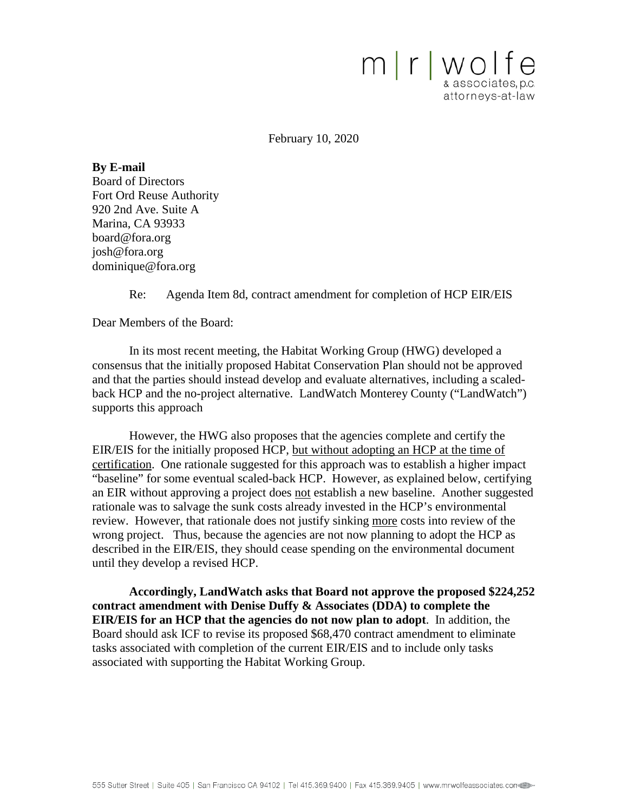

February 10, 2020

**By E-mail** Board of Directors Fort Ord Reuse Authority 920 2nd Ave. Suite A Marina, CA 93933 [board@fora.org](mailto:board@fora.org) [josh@fora.org](mailto:josh@fora.org) [dominique@fora.org](mailto:dominique@fora.org)

Re: Agenda Item 8d, contract amendment for completion of HCP EIR/EIS

Dear Members of the Board:

In its most recent meeting, the Habitat Working Group (HWG) developed a consensus that the initially proposed Habitat Conservation Plan should not be approved and that the parties should instead develop and evaluate alternatives, including a scaledback HCP and the no-project alternative. LandWatch Monterey County ("LandWatch") supports this approach

However, the HWG also proposes that the agencies complete and certify the EIR/EIS for the initially proposed HCP, but without adopting an HCP at the time of certification. One rationale suggested for this approach was to establish a higher impact "baseline" for some eventual scaled-back HCP. However, as explained below, certifying an EIR without approving a project does not establish a new baseline. Another suggested rationale was to salvage the sunk costs already invested in the HCP's environmental review. However, that rationale does not justify sinking more costs into review of the wrong project. Thus, because the agencies are not now planning to adopt the HCP as described in the EIR/EIS, they should cease spending on the environmental document until they develop a revised HCP.

**Accordingly, LandWatch asks that Board not approve the proposed \$224,252 contract amendment with Denise Duffy & Associates (DDA) to complete the EIR/EIS for an HCP that the agencies do not now plan to adopt**. In addition, the Board should ask ICF to revise its proposed \$68,470 contract amendment to eliminate tasks associated with completion of the current EIR/EIS and to include only tasks associated with supporting the Habitat Working Group.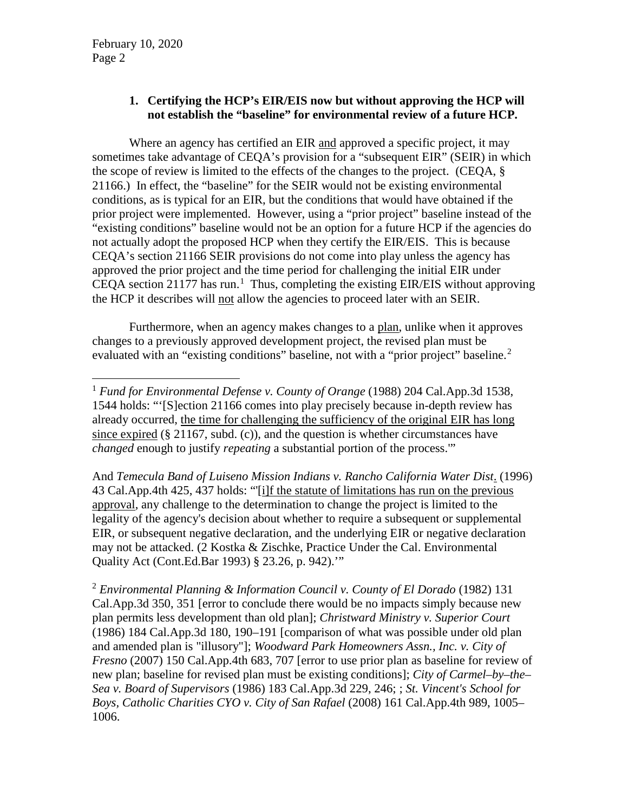## **1. Certifying the HCP's EIR/EIS now but without approving the HCP will not establish the "baseline" for environmental review of a future HCP.**

Where an agency has certified an EIR and approved a specific project, it may sometimes take advantage of CEQA's provision for a "subsequent EIR" (SEIR) in which the scope of review is limited to the effects of the changes to the project. (CEQA, § 21166.) In effect, the "baseline" for the SEIR would not be existing environmental conditions, as is typical for an EIR, but the conditions that would have obtained if the prior project were implemented. However, using a "prior project" baseline instead of the "existing conditions" baseline would not be an option for a future HCP if the agencies do not actually adopt the proposed HCP when they certify the EIR/EIS. This is because CEQA's section 21166 SEIR provisions do not come into play unless the agency has approved the prior project and the time period for challenging the initial EIR under CEQA section 2[1](#page-1-0)177 has run.<sup>1</sup> Thus, completing the existing EIR/EIS without approving the HCP it describes will not allow the agencies to proceed later with an SEIR.

Furthermore, when an agency makes changes to a plan, unlike when it approves changes to a previously approved development project, the revised plan must be evaluated with an "existing conditions" baseline, not with a "prior project" baseline.<sup>[2](#page-1-1)</sup>

And *Temecula Band of Luiseno Mission Indians v. Rancho California Water Dist*. (1996) 43 Cal.App.4th 425, 437 holds: "'[i]f the statute of limitations has run on the previous approval, any challenge to the determination to change the project is limited to the legality of the agency's decision about whether to require a subsequent or supplemental EIR, or subsequent negative declaration, and the underlying EIR or negative declaration may not be attacked. (2 Kostka & Zischke, Practice Under the Cal. Environmental Quality Act (Cont.Ed.Bar 1993) § 23.26, p. 942).'"

<span id="page-1-1"></span><sup>2</sup> *Environmental Planning & Information Council v. County of El Dorado* (1982) 131 Cal.App.3d 350, 351 [error to conclude there would be no impacts simply because new plan permits less development than old plan]; *Christward Ministry v. Superior Court* (1986) 184 Cal.App.3d 180, 190–191 [comparison of what was possible under old plan and amended plan is "illusory"]; *Woodward Park Homeowners Assn., Inc. v. City of Fresno* (2007) 150 Cal.App.4th 683, 707 [error to use prior plan as baseline for review of new plan; baseline for revised plan must be existing conditions]; *City of Carmel–by–the– Sea v. Board of Supervisors* (1986) 183 Cal.App.3d 229, 246; ; *St. Vincent's School for Boys, Catholic Charities CYO v. City of San Rafael* (2008) 161 Cal.App.4th 989, 1005– 1006.

<span id="page-1-0"></span> <sup>1</sup> *Fund for Environmental Defense v. County of Orange* (1988) 204 Cal.App.3d 1538, 1544 holds: "'[S]ection 21166 comes into play precisely because in-depth review has already occurred, the time for challenging the sufficiency of the original EIR has long since expired  $(\S 21167, \text{subd. (c)})$ , and the question is whether circumstances have *changed* enough to justify *repeating* a substantial portion of the process.'"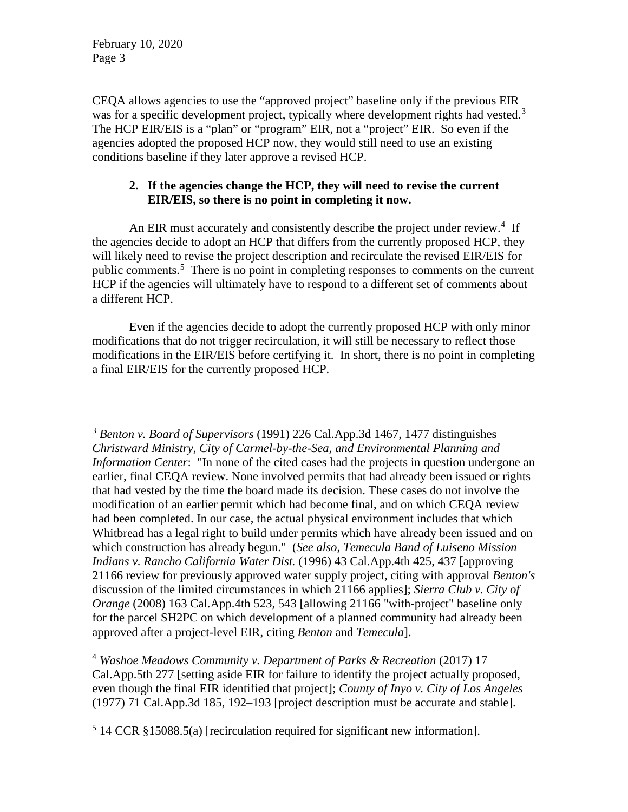February 10, 2020 Page 3

CEQA allows agencies to use the "approved project" baseline only if the previous EIR was for a specific development project, typically where development rights had vested.<sup>[3](#page-2-0)</sup> The HCP EIR/EIS is a "plan" or "program" EIR, not a "project" EIR. So even if the agencies adopted the proposed HCP now, they would still need to use an existing conditions baseline if they later approve a revised HCP.

## **2. If the agencies change the HCP, they will need to revise the current EIR/EIS, so there is no point in completing it now.**

An EIR must accurately and consistently describe the project under review.<sup>[4](#page-2-1)</sup> If the agencies decide to adopt an HCP that differs from the currently proposed HCP, they will likely need to revise the project description and recirculate the revised EIR/EIS for public comments.<sup>[5](#page-2-2)</sup> There is no point in completing responses to comments on the current HCP if the agencies will ultimately have to respond to a different set of comments about a different HCP.

Even if the agencies decide to adopt the currently proposed HCP with only minor modifications that do not trigger recirculation, it will still be necessary to reflect those modifications in the EIR/EIS before certifying it. In short, there is no point in completing a final EIR/EIS for the currently proposed HCP.

<span id="page-2-0"></span> <sup>3</sup> *Benton v. Board of Supervisors* (1991) 226 Cal.App.3d 1467, 1477 distinguishes *Christward Ministry, City of Carmel-by-the-Sea, and Environmental Planning and Information Center*: "In none of the cited cases had the projects in question undergone an earlier, final CEQA review. None involved permits that had already been issued or rights that had vested by the time the board made its decision. These cases do not involve the modification of an earlier permit which had become final, and on which CEQA review had been completed. In our case, the actual physical environment includes that which Whitbread has a legal right to build under permits which have already been issued and on which construction has already begun." (*See also*, *Temecula Band of Luiseno Mission Indians v. Rancho California Water Dist.* (1996) 43 Cal.App.4th 425, 437 [approving 21166 review for previously approved water supply project, citing with approval *Benton's* discussion of the limited circumstances in which 21166 applies]; *Sierra Club v. City of Orange* (2008) 163 Cal.App.4th 523, 543 [allowing 21166 "with-project" baseline only for the parcel SH2PC on which development of a planned community had already been approved after a project-level EIR, citing *Benton* and *Temecula*].

<span id="page-2-1"></span><sup>4</sup> *Washoe Meadows Community v. Department of Parks & Recreation* (2017) 17 Cal.App.5th 277 [setting aside EIR for failure to identify the project actually proposed, even though the final EIR identified that project]; *County of Inyo [v. City of Los Angeles](https://1.next.westlaw.com/Link/Document/FullText?findType=Y&serNum=1977103331&pubNum=0000226&originatingDoc=Ibc446d20ca6811e7929ecf6e705a87cd&refType=RP&fi=co_pp_sp_226_192&originationContext=document&transitionType=DocumentItem&contextData=(sc.DocLink)#co_pp_sp_226_192)* [\(1977\) 71 Cal.App.3d 185, 192–193](https://1.next.westlaw.com/Link/Document/FullText?findType=Y&serNum=1977103331&pubNum=0000226&originatingDoc=Ibc446d20ca6811e7929ecf6e705a87cd&refType=RP&fi=co_pp_sp_226_192&originationContext=document&transitionType=DocumentItem&contextData=(sc.DocLink)#co_pp_sp_226_192) [project description must be accurate and stable].

<span id="page-2-2"></span> $5$  14 CCR §15088.5(a) [recirculation required for significant new information].